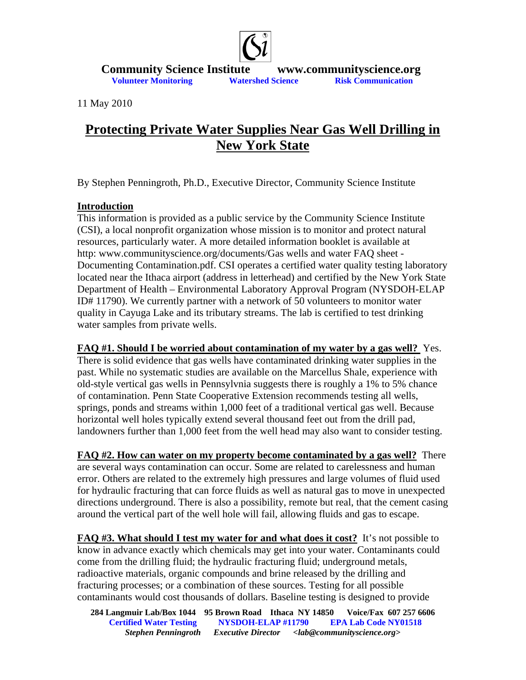

**Community Science Institute www.communityscience.org<br>Volunteer Monitoring Watershed Science Risk Communication** 

11 May 2010

## **Protecting Private Water Supplies Near Gas Well Drilling in New York State**

By Stephen Penningroth, Ph.D., Executive Director, Community Science Institute

## **Introduction**

This information is provided as a public service by the Community Science Institute (CSI), a local nonprofit organization whose mission is to monitor and protect natural resources, particularly water. A more detailed information booklet is available at http: www.communityscience.org/documents/Gas wells and water FAQ sheet - Documenting Contamination.pdf. CSI operates a certified water quality testing laboratory located near the Ithaca airport (address in letterhead) and certified by the New York State Department of Health – Environmental Laboratory Approval Program (NYSDOH-ELAP ID# 11790). We currently partner with a network of 50 volunteers to monitor water quality in Cayuga Lake and its tributary streams. The lab is certified to test drinking water samples from private wells.

**FAQ #1. Should I be worried about contamination of my water by a gas well?** Yes. There is solid evidence that gas wells have contaminated drinking water supplies in the past. While no systematic studies are available on the Marcellus Shale, experience with old-style vertical gas wells in Pennsylvnia suggests there is roughly a 1% to 5% chance of contamination. Penn State Cooperative Extension recommends testing all wells, springs, ponds and streams within 1,000 feet of a traditional vertical gas well. Because horizontal well holes typically extend several thousand feet out from the drill pad, landowners further than 1,000 feet from the well head may also want to consider testing.

**FAQ #2. How can water on my property become contaminated by a gas well?** There are several ways contamination can occur. Some are related to carelessness and human error. Others are related to the extremely high pressures and large volumes of fluid used for hydraulic fracturing that can force fluids as well as natural gas to move in unexpected directions underground. There is also a possibility, remote but real, that the cement casing around the vertical part of the well hole will fail, allowing fluids and gas to escape.

**FAQ #3. What should I test my water for and what does it cost?** It's not possible to know in advance exactly which chemicals may get into your water. Contaminants could come from the drilling fluid; the hydraulic fracturing fluid; underground metals, radioactive materials, organic compounds and brine released by the drilling and fracturing processes; or a combination of these sources. Testing for all possible contaminants would cost thousands of dollars. Baseline testing is designed to provide

**284 Langmuir Lab/Box 1044 95 Brown Road Ithaca NY 14850 Voice/Fax 607 257 6606 Certified Water Testing NYSDOH-ELAP #11790 EPA Lab Code NY01518**  *Stephen Penningroth Executive Director <lab@communityscience.org>*